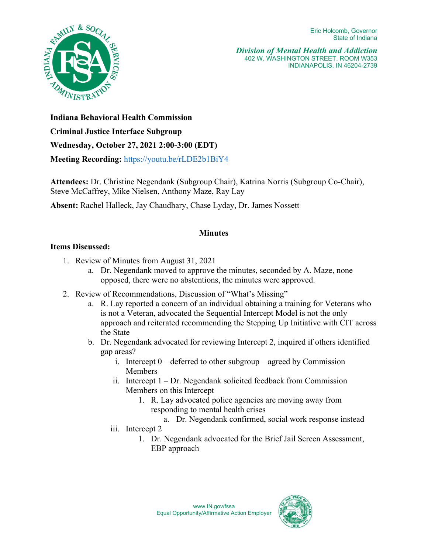Eric Holcomb, Governor State of Indiana



*Division of Mental Health and Addiction* 402 W. WASHINGTON STREET, ROOM W353 INDIANAPOLIS, IN 46204-2739

**Indiana Behavioral Health Commission** 

## **Criminal Justice Interface Subgroup**

**Wednesday, October 27, 2021 2:00-3:00 (EDT)** 

**Meeting Recording:** <https://youtu.be/rLDE2b1BiY4>

**Attendees:** Dr. Christine Negendank (Subgroup Chair), Katrina Norris (Subgroup Co-Chair), Steve McCaffrey, Mike Nielsen, Anthony Maze, Ray Lay

**Absent:** Rachel Halleck, Jay Chaudhary, Chase Lyday, Dr. James Nossett

## **Minutes**

## **Items Discussed:**

- 1. Review of Minutes from August 31, 2021
	- a. Dr. Negendank moved to approve the minutes, seconded by A. Maze, none opposed, there were no abstentions, the minutes were approved.
- 2. Review of Recommendations, Discussion of "What's Missing"
	- a. R. Lay reported a concern of an individual obtaining a training for Veterans who is not a Veteran, advocated the Sequential Intercept Model is not the only approach and reiterated recommending the Stepping Up Initiative with CIT across the State
	- b. Dr. Negendank advocated for reviewing Intercept 2, inquired if others identified gap areas?
		- i. Intercept  $0$  deferred to other subgroup agreed by Commission Members
		- ii. Intercept 1 Dr. Negendank solicited feedback from Commission Members on this Intercept
			- 1. R. Lay advocated police agencies are moving away from responding to mental health crises
				- a. Dr. Negendank confirmed, social work response instead
		- iii. Intercept 2
			- 1. Dr. Negendank advocated for the Brief Jail Screen Assessment, EBP approach

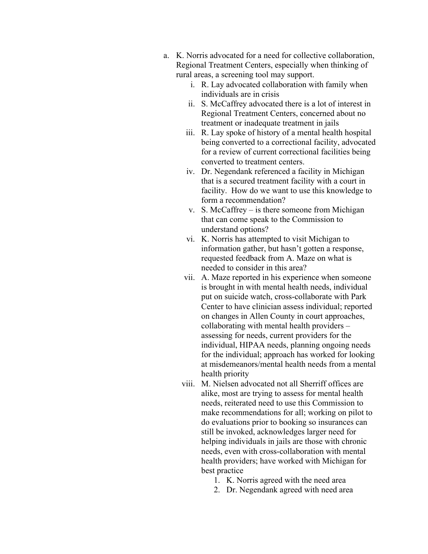- a. K. Norris advocated for a need for collective collaboration, Regional Treatment Centers, especially when thinking of rural areas, a screening tool may support.
	- i. R. Lay advocated collaboration with family when individuals are in crisis
	- ii. S. McCaffrey advocated there is a lot of interest in Regional Treatment Centers, concerned about no treatment or inadequate treatment in jails
	- iii. R. Lay spoke of history of a mental health hospital being converted to a correctional facility, advocated for a review of current correctional facilities being converted to treatment centers.
	- iv. Dr. Negendank referenced a facility in Michigan that is a secured treatment facility with a court in facility. How do we want to use this knowledge to form a recommendation?
	- v. S. McCaffrey is there someone from Michigan that can come speak to the Commission to understand options?
	- vi. K. Norris has attempted to visit Michigan to information gather, but hasn't gotten a response, requested feedback from A. Maze on what is needed to consider in this area?
	- vii. A. Maze reported in his experience when someone is brought in with mental health needs, individual put on suicide watch, cross-collaborate with Park Center to have clinician assess individual; reported on changes in Allen County in court approaches, collaborating with mental health providers – assessing for needs, current providers for the individual, HIPAA needs, planning ongoing needs for the individual; approach has worked for looking at misdemeanors/mental health needs from a mental health priority
	- viii. M. Nielsen advocated not all Sherriff offices are alike, most are trying to assess for mental health needs, reiterated need to use this Commission to make recommendations for all; working on pilot to do evaluations prior to booking so insurances can still be invoked, acknowledges larger need for helping individuals in jails are those with chronic needs, even with cross-collaboration with mental health providers; have worked with Michigan for best practice
		- 1. K. Norris agreed with the need area
		- 2. Dr. Negendank agreed with need area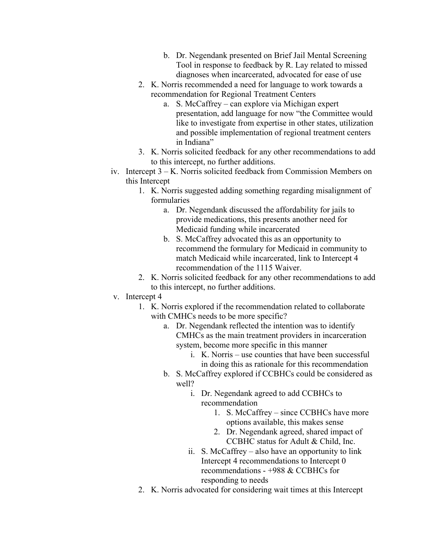- b. Dr. Negendank presented on Brief Jail Mental Screening Tool in response to feedback by R. Lay related to missed diagnoses when incarcerated, advocated for ease of use
- 2. K. Norris recommended a need for language to work towards a recommendation for Regional Treatment Centers
	- a. S. McCaffrey can explore via Michigan expert presentation, add language for now "the Committee would like to investigate from expertise in other states, utilization and possible implementation of regional treatment centers in Indiana"
- 3. K. Norris solicited feedback for any other recommendations to add to this intercept, no further additions.
- iv. Intercept 3 K. Norris solicited feedback from Commission Members on this Intercept
	- 1. K. Norris suggested adding something regarding misalignment of formularies
		- a. Dr. Negendank discussed the affordability for jails to provide medications, this presents another need for Medicaid funding while incarcerated
		- b. S. McCaffrey advocated this as an opportunity to recommend the formulary for Medicaid in community to match Medicaid while incarcerated, link to Intercept 4 recommendation of the 1115 Waiver.
	- 2. K. Norris solicited feedback for any other recommendations to add to this intercept, no further additions.
- v. Intercept 4
	- 1. K. Norris explored if the recommendation related to collaborate with CMHCs needs to be more specific?
		- a. Dr. Negendank reflected the intention was to identify CMHCs as the main treatment providers in incarceration system, become more specific in this manner
			- i. K. Norris use counties that have been successful in doing this as rationale for this recommendation
		- b. S. McCaffrey explored if CCBHCs could be considered as well?
			- i. Dr. Negendank agreed to add CCBHCs to recommendation
				- 1. S. McCaffrey since CCBHCs have more options available, this makes sense
				- 2. Dr. Negendank agreed, shared impact of CCBHC status for Adult & Child, Inc.
			- ii. S. McCaffrey also have an opportunity to link Intercept 4 recommendations to Intercept 0 recommendations - +988 & CCBHCs for responding to needs
	- 2. K. Norris advocated for considering wait times at this Intercept